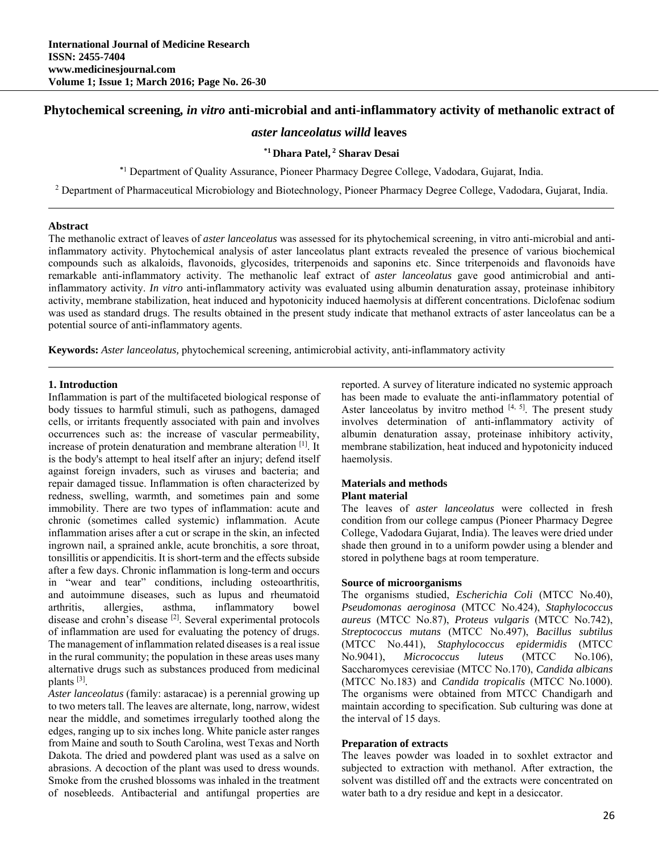# **Phytochemical screening***, in vitro* **anti-microbial and anti-inflammatory activity of methanolic extract of**

# *aster lanceolatus willd* **leaves**

### **\*1 Dhara Patel, 2 Sharav Desai**

**\***1 Department of Quality Assurance, Pioneer Pharmacy Degree College, Vadodara, Gujarat, India.

<sup>2</sup> Department of Pharmaceutical Microbiology and Biotechnology, Pioneer Pharmacy Degree College, Vadodara, Gujarat, India.

#### **Abstract**

The methanolic extract of leaves of *aster lanceolatus* was assessed for its phytochemical screening, in vitro anti-microbial and antiinflammatory activity. Phytochemical analysis of aster lanceolatus plant extracts revealed the presence of various biochemical compounds such as alkaloids, flavonoids, glycosides, triterpenoids and saponins etc. Since triterpenoids and flavonoids have remarkable anti-inflammatory activity. The methanolic leaf extract of *aster lanceolatus* gave good antimicrobial and antiinflammatory activity. *In vitro* anti-inflammatory activity was evaluated using albumin denaturation assay, proteinase inhibitory activity, membrane stabilization, heat induced and hypotonicity induced haemolysis at different concentrations. Diclofenac sodium was used as standard drugs. The results obtained in the present study indicate that methanol extracts of aster lanceolatus can be a potential source of anti-inflammatory agents.

**Keywords:** *Aster lanceolatus,* phytochemical screening*,* antimicrobial activity, anti-inflammatory activity

#### **1. Introduction**

Inflammation is part of the multifaceted biological response of body tissues to harmful stimuli, such as pathogens, damaged cells, or irritants frequently associated with pain and involves occurrences such as: the increase of vascular permeability, increase of protein denaturation and membrane alteration [1]. It is the body's attempt to heal itself after an injury; defend itself against foreign invaders, such as viruses and bacteria; and repair damaged tissue. Inflammation is often characterized by redness, swelling, warmth, and sometimes pain and some immobility. There are two types of inflammation: acute and chronic (sometimes called systemic) inflammation. Acute inflammation arises after a cut or scrape in the skin, an infected ingrown nail, a sprained ankle, acute bronchitis, a sore throat, tonsillitis or appendicitis. It is short-term and the effects subside after a few days. Chronic inflammation is long-term and occurs in "wear and tear" conditions, including osteoarthritis, and autoimmune diseases, such as lupus and rheumatoid arthritis, allergies, asthma, inflammatory bowel disease and crohn's disease [2]. Several experimental protocols of inflammation are used for evaluating the potency of drugs. The management of inflammation related diseases is a real issue in the rural community; the population in these areas uses many alternative drugs such as substances produced from medicinal plants [3].

*Aster lanceolatus* (family: astaracae) is a perennial growing up to two meters tall. The leaves are alternate, long, narrow, widest near the middle, and sometimes irregularly toothed along the edges, ranging up to six inches long. White panicle aster ranges from Maine and south to South Carolina, west Texas and North Dakota. The dried and powdered plant was used as a salve on abrasions. A decoction of the plant was used to dress wounds. Smoke from the crushed blossoms was inhaled in the treatment of nosebleeds. Antibacterial and antifungal properties are

reported. A survey of literature indicated no systemic approach has been made to evaluate the anti-inflammatory potential of Aster lanceolatus by invitro method  $[4, 5]$ . The present study involves determination of anti-inflammatory activity of albumin denaturation assay, proteinase inhibitory activity, membrane stabilization, heat induced and hypotonicity induced haemolysis.

# **Materials and methods**

# **Plant material**

The leaves of *aster lanceolatus* were collected in fresh condition from our college campus (Pioneer Pharmacy Degree College, Vadodara Gujarat, India). The leaves were dried under shade then ground in to a uniform powder using a blender and stored in polythene bags at room temperature.

# **Source of microorganisms**

The organisms studied, *Escherichia Coli* (MTCC No.40), *Pseudomonas aeroginosa* (MTCC No.424), *Staphylococcus aureus* (MTCC No.87), *Proteus vulgaris* (MTCC No.742), *Streptococcus mutans* (MTCC No.497), *Bacillus subtilus*  (MTCC No.441), *Staphylococcus epidermidis* (MTCC No.9041), *Micrococcus luteus* (MTCC No.106), Saccharomyces cerevisiae (MTCC No.170), *Candida albicans* (MTCC No.183) and *Candida tropicalis* (MTCC No.1000). The organisms were obtained from MTCC Chandigarh and maintain according to specification. Sub culturing was done at the interval of 15 days.

#### **Preparation of extracts**

The leaves powder was loaded in to soxhlet extractor and subjected to extraction with methanol. After extraction, the solvent was distilled off and the extracts were concentrated on water bath to a dry residue and kept in a desiccator.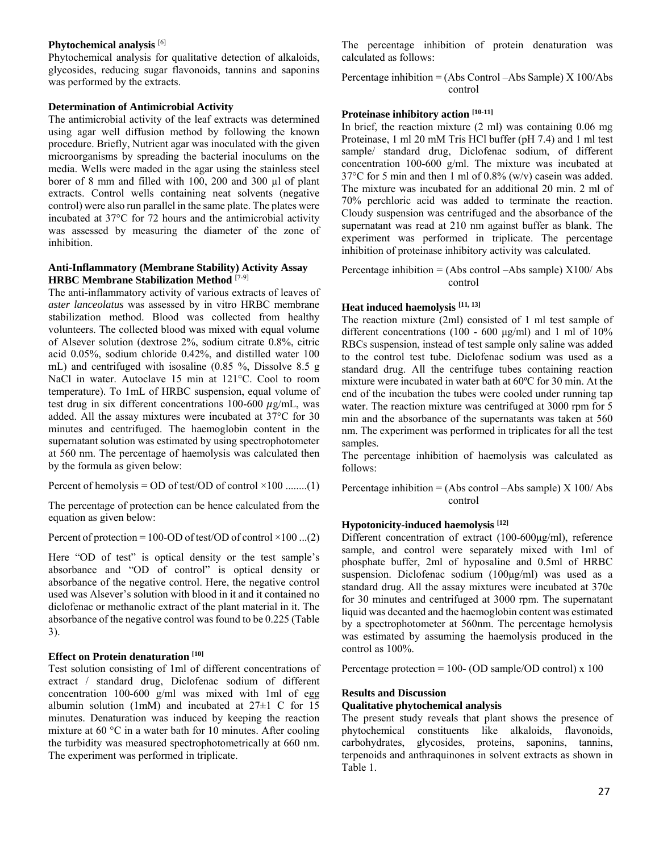#### **Phytochemical analysis** [6]

Phytochemical analysis for qualitative detection of alkaloids, glycosides, reducing sugar flavonoids, tannins and saponins was performed by the extracts.

#### **Determination of Antimicrobial Activity**

The antimicrobial activity of the leaf extracts was determined using agar well diffusion method by following the known procedure. Briefly, Nutrient agar was inoculated with the given microorganisms by spreading the bacterial inoculums on the media. Wells were maded in the agar using the stainless steel borer of 8 mm and filled with 100, 200 and 300 µl of plant extracts. Control wells containing neat solvents (negative control) were also run parallel in the same plate. The plates were incubated at 37°C for 72 hours and the antimicrobial activity was assessed by measuring the diameter of the zone of inhibition.

#### **Anti-Inflammatory (Membrane Stability) Activity Assay HRBC Membrane Stabilization Method** [7-9]

The anti-inflammatory activity of various extracts of leaves of *aster lanceolatus* was assessed by in vitro HRBC membrane stabilization method. Blood was collected from healthy volunteers. The collected blood was mixed with equal volume of Alsever solution (dextrose 2%, sodium citrate 0.8%, citric acid 0.05%, sodium chloride 0.42%, and distilled water 100 mL) and centrifuged with isosaline (0.85 %, Dissolve 8.5 g NaCl in water. Autoclave 15 min at 121°C. Cool to room temperature). To 1mL of HRBC suspension, equal volume of test drug in six different concentrations  $100-600 \mu g/mL$ , was added. All the assay mixtures were incubated at 37°C for 30 minutes and centrifuged. The haemoglobin content in the supernatant solution was estimated by using spectrophotometer at 560 nm. The percentage of haemolysis was calculated then by the formula as given below:

Percent of hemolysis = OD of test/OD of control  $\times$ 100 ........(1)

The percentage of protection can be hence calculated from the equation as given below:

Percent of protection = 100-OD of test/OD of control  $\times$ 100 ...(2)

Here "OD of test" is optical density or the test sample's absorbance and "OD of control" is optical density or absorbance of the negative control. Here, the negative control used was Alsever's solution with blood in it and it contained no diclofenac or methanolic extract of the plant material in it. The absorbance of the negative control was found to be 0.225 (Table 3).

#### **Effect on Protein denaturation [10]**

Test solution consisting of 1ml of different concentrations of extract / standard drug, Diclofenac sodium of different concentration 100-600 g/ml was mixed with 1ml of egg albumin solution (1mM) and incubated at  $27\pm1$  C for 15 minutes. Denaturation was induced by keeping the reaction mixture at 60 °C in a water bath for 10 minutes. After cooling the turbidity was measured spectrophotometrically at 660 nm. The experiment was performed in triplicate.

The percentage inhibition of protein denaturation was calculated as follows:

Percentage inhibition = (Abs Control –Abs Sample) X 100/Abs control

#### **Proteinase inhibitory action [10-11]**

In brief, the reaction mixture (2 ml) was containing 0.06 mg Proteinase, 1 ml 20 mM Tris HCl buffer (pH 7.4) and 1 ml test sample/ standard drug, Diclofenac sodium, of different concentration 100-600 g/ml. The mixture was incubated at 37°C for 5 min and then 1 ml of 0.8% (w/v) casein was added. The mixture was incubated for an additional 20 min. 2 ml of 70% perchloric acid was added to terminate the reaction. Cloudy suspension was centrifuged and the absorbance of the supernatant was read at 210 nm against buffer as blank. The experiment was performed in triplicate. The percentage inhibition of proteinase inhibitory activity was calculated.

Percentage inhibition  $=$  (Abs control  $-A$ bs sample)  $X100/A$ bs control

#### **Heat induced haemolysis [11, 13]**

The reaction mixture (2ml) consisted of 1 ml test sample of different concentrations (100 - 600 μg/ml) and 1 ml of 10% RBCs suspension, instead of test sample only saline was added to the control test tube. Diclofenac sodium was used as a standard drug. All the centrifuge tubes containing reaction mixture were incubated in water bath at 60ºC for 30 min. At the end of the incubation the tubes were cooled under running tap water. The reaction mixture was centrifuged at 3000 rpm for 5 min and the absorbance of the supernatants was taken at 560 nm. The experiment was performed in triplicates for all the test samples.

The percentage inhibition of haemolysis was calculated as follows:

Percentage inhibition  $=$  (Abs control  $-A$ bs sample) X 100/ Abs control

#### **Hypotonicity-induced haemolysis [12]**

Different concentration of extract (100-600μg/ml), reference sample, and control were separately mixed with 1ml of phosphate buffer, 2ml of hyposaline and 0.5ml of HRBC suspension. Diclofenac sodium (100μg/ml) was used as a standard drug. All the assay mixtures were incubated at 370c for 30 minutes and centrifuged at 3000 rpm. The supernatant liquid was decanted and the haemoglobin content was estimated by a spectrophotometer at 560nm. The percentage hemolysis was estimated by assuming the haemolysis produced in the control as 100%.

Percentage protection = 100- (OD sample/OD control) x 100

#### **Results and Discussion**

#### **Qualitative phytochemical analysis**

The present study reveals that plant shows the presence of phytochemical constituents like alkaloids, flavonoids, carbohydrates, glycosides, proteins, saponins, tannins, terpenoids and anthraquinones in solvent extracts as shown in Table 1.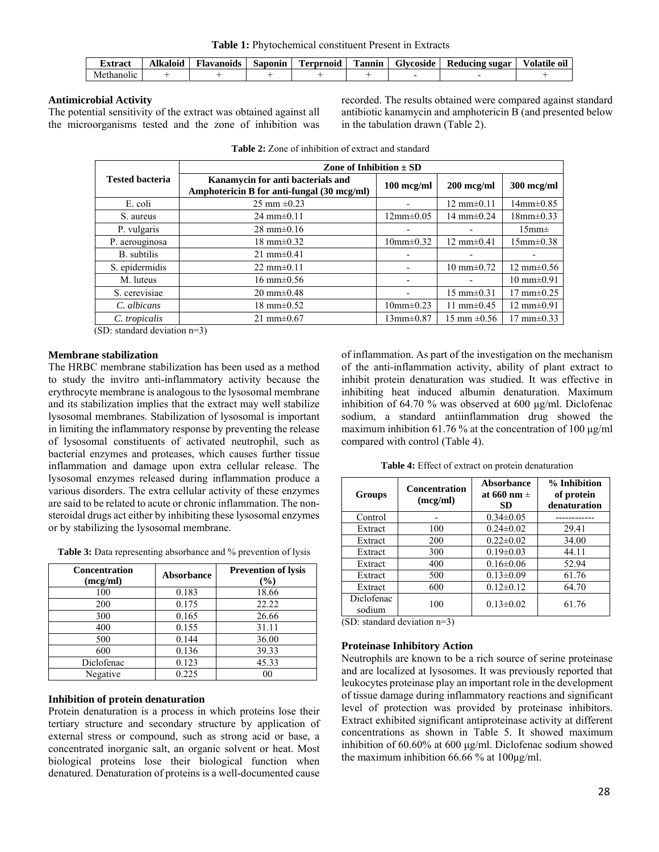**Table 1:** Phytochemical constituent Present in Extracts

| txtract                 | Alkaloid | $\cdot$ $\cdot$<br>$\overline{\phantom{a}}$<br>Flavanoids | Saponin | m<br>Ferprnoid | l'annın | Glycoside | Reducing sugar | Volatile<br>$\bullet$<br>-01 |
|-------------------------|----------|-----------------------------------------------------------|---------|----------------|---------|-----------|----------------|------------------------------|
| . .<br>ethanolic<br>Mei |          |                                                           |         |                |         |           |                |                              |

# **Antimicrobial Activity**

The potential sensitivity of the extract was obtained against all the microorganisms tested and the zone of inhibition was recorded. The results obtained were compared against standard antibiotic kanamycin and amphotericin B (and presented below in the tabulation drawn (Table 2).

|                                     | Zone of Inhibition $\pm$ SD                                                     |                 |                          |                          |  |  |
|-------------------------------------|---------------------------------------------------------------------------------|-----------------|--------------------------|--------------------------|--|--|
| <b>Tested bacteria</b>              | Kanamycin for anti bacterials and<br>Amphotericin B for anti-fungal (30 mcg/ml) | $100$ mcg/ml    | $200$ mcg/ml             | 300 mcg/ml               |  |  |
| E. coli                             | 25 mm $\pm 0.23$                                                                |                 | $12 \text{ mm} \pm 0.11$ | $14$ mm $\pm$ 0.85       |  |  |
| S. aureus                           | $24 \text{ mm} \pm 0.11$                                                        | $12mm \pm 0.05$ | 14 mm $\pm$ 0.24         | $18mm \pm 0.33$          |  |  |
| P. vulgaris                         | $28 \text{ mm} \pm 0.16$                                                        |                 |                          | 15mm <sub>±</sub>        |  |  |
| P. aerouginosa                      | $18 \text{ mm} \pm 0.32$                                                        | $10mm \pm 0.32$ | $12 \text{ mm} \pm 0.41$ | $15$ mm $\pm 0.38$       |  |  |
| B. subtilis                         | $21 \text{ mm} \pm 0.41$                                                        |                 |                          |                          |  |  |
| S. epidermidis                      | 22 mm $\pm$ 0.11                                                                |                 | $10 \text{ mm} \pm 0.72$ | $12 \text{ mm} \pm 0.56$ |  |  |
| M. luteus                           | $16 \text{ mm} \pm 0.56$                                                        |                 |                          | $10 \text{ mm} \pm 0.91$ |  |  |
| S. cerevisiae                       | $20 \text{ mm} \pm 0.48$                                                        |                 | $15 \text{ mm} \pm 0.31$ | $17 \text{ mm} \pm 0.25$ |  |  |
| C. albicans                         | $18 \text{ mm} \pm 0.52$                                                        | $10mm\pm0.23$   | 11 mm $\pm$ 0.45         | $12 \text{ mm} \pm 0.91$ |  |  |
| C. tropicalis                       | $21 \text{ mm} \pm 0.67$                                                        | $13mm+0.87$     | 15 mm $\pm 0.56$         | $17 \text{ mm} \pm 0.33$ |  |  |
| $CD$ , atomological deviation $n=2$ |                                                                                 |                 |                          |                          |  |  |

|  |  | <b>Table 2:</b> Zone of inhibition of extract and standard |
|--|--|------------------------------------------------------------|
|  |  |                                                            |

(SD: standard deviation n=3)

#### **Membrane stabilization**

The HRBC membrane stabilization has been used as a method to study the invitro anti-inflammatory activity because the erythrocyte membrane is analogous to the lysosomal membrane and its stabilization implies that the extract may well stabilize lysosomal membranes. Stabilization of lysosomal is important in limiting the inflammatory response by preventing the release of lysosomal constituents of activated neutrophil, such as bacterial enzymes and proteases, which causes further tissue inflammation and damage upon extra cellular release. The lysosomal enzymes released during inflammation produce a various disorders. The extra cellular activity of these enzymes are said to be related to acute or chronic inflammation. The nonsteroidal drugs act either by inhibiting these lysosomal enzymes or by stabilizing the lysosomal membrane.

**Table 3:** Data representing absorbance and % prevention of lysis

| <b>Concentration</b><br>(mcg/ml) | Absorbance | <b>Prevention of lysis</b><br>$(\%)$ |
|----------------------------------|------------|--------------------------------------|
| 100                              | 0.183      | 18.66                                |
| 200                              | 0.175      | 22.22                                |
| 300                              | 0.165      | 26.66                                |
| 400                              | 0.155      | 31.11                                |
| 500                              | 0.144      | 36.00                                |
| 600                              | 0.136      | 39.33                                |
| Diclofenac                       | 0.123      | 45.33                                |
| Negative                         | 0.225      | 00                                   |

#### **Inhibition of protein denaturation**

Protein denaturation is a process in which proteins lose their tertiary structure and secondary structure by application of external stress or compound, such as strong acid or base, a concentrated inorganic salt, an organic solvent or heat. Most biological proteins lose their biological function when denatured. Denaturation of proteins is a well-documented cause

of inflammation. As part of the investigation on the mechanism of the anti-inflammation activity, ability of plant extract to inhibit protein denaturation was studied. It was effective in inhibiting heat induced albumin denaturation. Maximum inhibition of 64.70 % was observed at 600 μg/ml. Diclofenac sodium, a standard antiinflammation drug showed the maximum inhibition 61.76 % at the concentration of 100 μg/ml compared with control (Table 4).

**Table 4:** Effect of extract on protein denaturation

| <b>Groups</b>        | <b>Concentration</b><br>(mcg/ml) | Absorbance<br>at 660 nm $\pm$<br><b>SD</b> | % Inhibition<br>of protein<br>denaturation |
|----------------------|----------------------------------|--------------------------------------------|--------------------------------------------|
| Control              |                                  | $0.34 \pm 0.05$                            |                                            |
| Extract              | 100                              | $0.24 \pm 0.02$                            | 29.41                                      |
| Extract              | 200                              | $0.22 \pm 0.02$                            | 34.00                                      |
| Extract              | 300                              | $0.19 \pm 0.03$                            | 44.11                                      |
| Extract              | 400                              | $0.16 \pm 0.06$                            | 52.94                                      |
| Extract              | 500                              | $0.13 \pm 0.09$                            | 61.76                                      |
| Extract              | 600                              | $0.12 \pm 0.12$                            | 64.70                                      |
| Diclofenac<br>sodium | 100                              | $0.13 \pm 0.02$                            | 61.76                                      |

(SD: standard deviation n=3)

# **Proteinase Inhibitory Action**

Neutrophils are known to be a rich source of serine proteinase and are localized at lysosomes. It was previously reported that leukocytes proteinase play an important role in the development of tissue damage during inflammatory reactions and significant level of protection was provided by proteinase inhibitors. Extract exhibited significant antiproteinase activity at different concentrations as shown in Table 5. It showed maximum inhibition of 60.60% at 600 μg/ml. Diclofenac sodium showed the maximum inhibition 66.66 % at 100μg/ml.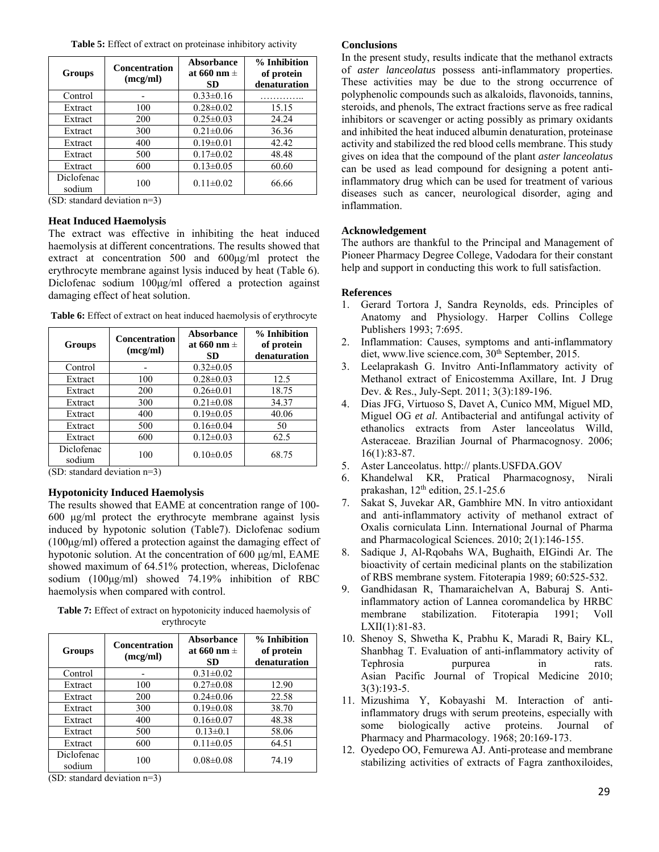**Table 5:** Effect of extract on proteinase inhibitory activity

| <b>Groups</b>        | <b>Concentration</b><br>(mcg/ml) | Absorbance<br>at 660 nm $\pm$<br>SD | % Inhibition<br>of protein<br>denaturation |
|----------------------|----------------------------------|-------------------------------------|--------------------------------------------|
| Control              |                                  | $0.33 \pm 0.16$                     |                                            |
| Extract              | 100                              | $0.28 \pm 0.02$                     | 15.15                                      |
| Extract              | 200                              | $0.25 \pm 0.03$                     | 24.24                                      |
| Extract              | 300                              | $0.21 \pm 0.06$                     | 36.36                                      |
| Extract              | 400                              | $0.19 \pm 0.01$                     | 42.42                                      |
| Extract              | 500                              | $0.17 \pm 0.02$                     | 48.48                                      |
| Extract              | 600                              | $0.13 \pm 0.05$                     | 60.60                                      |
| Diclofenac<br>sodium | 100                              | $0.11 \pm 0.02$                     | 66.66                                      |

(SD: standard deviation n=3)

# **Heat Induced Haemolysis**

The extract was effective in inhibiting the heat induced haemolysis at different concentrations. The results showed that extract at concentration 500 and 600μg/ml protect the erythrocyte membrane against lysis induced by heat (Table 6). Diclofenac sodium 100μg/ml offered a protection against damaging effect of heat solution.

| <b>Groups</b>        | <b>Concentration</b><br>(mcg/ml) | Absorbance<br>at 660 nm $\pm$<br>SD | % Inhibition<br>of protein<br>denaturation |
|----------------------|----------------------------------|-------------------------------------|--------------------------------------------|
| Control              |                                  | $0.32 \pm 0.05$                     |                                            |
| Extract              | 100                              | $0.28 \pm 0.03$                     | 12.5                                       |
| Extract              | 200                              | $0.26 \pm 0.01$                     | 18.75                                      |
| Extract              | 300                              | $0.21 \pm 0.08$                     | 34.37                                      |
| Extract              | 400                              | $0.19 \pm 0.05$                     | 40.06                                      |
| Extract              | 500                              | $0.16 \pm 0.04$                     | 50                                         |
| Extract              | 600                              | $0.12 \pm 0.03$                     | 62.5                                       |
| Diclofenac<br>sodium | 100                              | $0.10 \pm 0.05$                     | 68.75                                      |

**Table 6:** Effect of extract on heat induced haemolysis of erythrocyte

(SD: standard deviation n=3)

# **Hypotonicity Induced Haemolysis**

The results showed that EAME at concentration range of 100- 600 μg/ml protect the erythrocyte membrane against lysis induced by hypotonic solution (Table7). Diclofenac sodium (100μg/ml) offered a protection against the damaging effect of hypotonic solution. At the concentration of 600 μg/ml, EAME showed maximum of 64.51% protection, whereas, Diclofenac sodium (100μg/ml) showed 74.19% inhibition of RBC haemolysis when compared with control.

**Table 7:** Effect of extract on hypotonicity induced haemolysis of erythrocyte

| <b>Groups</b>        | <b>Concentration</b><br>(mcg/ml) | Absorbance<br>at 660 nm $\pm$<br>SD | % Inhibition<br>of protein<br>denaturation |
|----------------------|----------------------------------|-------------------------------------|--------------------------------------------|
| Control              |                                  | $0.31 \pm 0.02$                     |                                            |
| Extract              | 100                              | $0.27 \pm 0.08$                     | 12.90                                      |
| Extract              | 200                              | $0.24 \pm 0.06$                     | 22.58                                      |
| Extract              | 300                              | $0.19 \pm 0.08$                     | 38.70                                      |
| Extract              | 400                              | $0.16 \pm 0.07$                     | 48.38                                      |
| Extract              | 500                              | $0.13 \pm 0.1$                      | 58.06                                      |
| Extract              | 600                              | $0.11 \pm 0.05$                     | 64.51                                      |
| Diclofenac<br>sodium | 100                              | $0.08 \pm 0.08$                     | 74.19                                      |

(SD: standard deviation n=3)

### **Conclusions**

In the present study, results indicate that the methanol extracts of *aster lanceolatus* possess anti-inflammatory properties. These activities may be due to the strong occurrence of polyphenolic compounds such as alkaloids, flavonoids, tannins, steroids, and phenols, The extract fractions serve as free radical inhibitors or scavenger or acting possibly as primary oxidants and inhibited the heat induced albumin denaturation, proteinase activity and stabilized the red blood cells membrane. This study gives on idea that the compound of the plant *aster lanceolatus* can be used as lead compound for designing a potent antiinflammatory drug which can be used for treatment of various diseases such as cancer, neurological disorder, aging and inflammation.

# **Acknowledgement**

The authors are thankful to the Principal and Management of Pioneer Pharmacy Degree College, Vadodara for their constant help and support in conducting this work to full satisfaction.

# **References**

- 1. Gerard Tortora J, Sandra Reynolds, eds. Principles of Anatomy and Physiology. Harper Collins College Publishers 1993; 7:695.
- 2. Inflammation: Causes, symptoms and anti-inflammatory diet, www.live science.com, 30<sup>th</sup> September, 2015.
- 3. Leelaprakash G. Invitro Anti-Inflammatory activity of Methanol extract of Enicostemma Axillare, Int. J Drug Dev. & Res., July-Sept. 2011; 3(3):189-196.
- 4. Dias JFG, Virtuoso S, Davet A, Cunico MM, Miguel MD, Miguel OG *et al*. Antibacterial and antifungal activity of ethanolics extracts from Aster lanceolatus Willd, Asteraceae. Brazilian Journal of Pharmacognosy. 2006; 16(1):83-87.
- 5. Aster Lanceolatus. http:// plants.USFDA.GOV
- 6. Khandelwal KR, Pratical Pharmacognosy, Nirali prakashan, 12<sup>th</sup> edition, 25.1-25.6
- 7. Sakat S, Juvekar AR, Gambhire MN. In vitro antioxidant and anti-inflammatory activity of methanol extract of Oxalis corniculata Linn. International Journal of Pharma and Pharmacological Sciences. 2010; 2(1):146-155.
- 8. Sadique J, Al-Rqobahs WA, Bughaith, EIGindi Ar. The bioactivity of certain medicinal plants on the stabilization of RBS membrane system. Fitoterapia 1989; 60:525-532.
- 9. Gandhidasan R, Thamaraichelvan A, Baburaj S. Antiinflammatory action of Lannea coromandelica by HRBC membrane stabilization. Fitoterapia 1991; Voll LXII(1):81-83.
- 10. Shenoy S, Shwetha K, Prabhu K, Maradi R, Bairy KL, Shanbhag T. Evaluation of anti-inflammatory activity of Tephrosia purpurea in rats. Asian Pacific Journal of Tropical Medicine 2010; 3(3):193-5.
- 11. Mizushima Y, Kobayashi M. Interaction of antiinflammatory drugs with serum preoteins, especially with some biologically active proteins. Journal of Pharmacy and Pharmacology. 1968; 20:169-173.
- 12. Oyedepo OO, Femurewa AJ. Anti-protease and membrane stabilizing activities of extracts of Fagra zanthoxiloides,